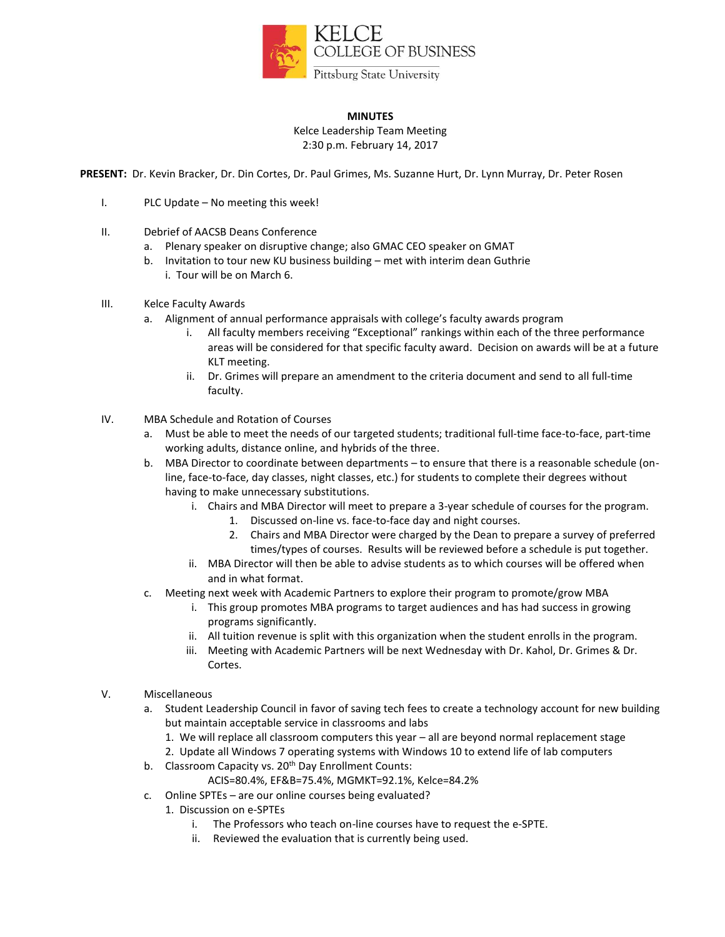

## **MINUTES**

Kelce Leadership Team Meeting 2:30 p.m. February 14, 2017

**PRESENT:** Dr. Kevin Bracker, Dr. Din Cortes, Dr. Paul Grimes, Ms. Suzanne Hurt, Dr. Lynn Murray, Dr. Peter Rosen

- I. PLC Update No meeting this week!
- II. Debrief of AACSB Deans Conference
	- a. Plenary speaker on disruptive change; also GMAC CEO speaker on GMAT
	- b. Invitation to tour new KU business building met with interim dean Guthrie i. Tour will be on March 6.
- III. Kelce Faculty Awards
	- a. Alignment of annual performance appraisals with college's faculty awards program
		- i. All faculty members receiving "Exceptional" rankings within each of the three performance areas will be considered for that specific faculty award. Decision on awards will be at a future KLT meeting.
		- ii. Dr. Grimes will prepare an amendment to the criteria document and send to all full-time faculty.
- IV. MBA Schedule and Rotation of Courses
	- a. Must be able to meet the needs of our targeted students; traditional full-time face-to-face, part-time working adults, distance online, and hybrids of the three.
	- b. MBA Director to coordinate between departments to ensure that there is a reasonable schedule (online, face-to-face, day classes, night classes, etc.) for students to complete their degrees without having to make unnecessary substitutions.
		- i. Chairs and MBA Director will meet to prepare a 3-year schedule of courses for the program.
			- 1. Discussed on-line vs. face-to-face day and night courses.
			- 2. Chairs and MBA Director were charged by the Dean to prepare a survey of preferred times/types of courses. Results will be reviewed before a schedule is put together.
		- ii. MBA Director will then be able to advise students as to which courses will be offered when and in what format.
	- c. Meeting next week with Academic Partners to explore their program to promote/grow MBA
		- i. This group promotes MBA programs to target audiences and has had success in growing programs significantly.
		- ii. All tuition revenue is split with this organization when the student enrolls in the program.
		- iii. Meeting with Academic Partners will be next Wednesday with Dr. Kahol, Dr. Grimes & Dr. Cortes.

#### V. Miscellaneous

- a. Student Leadership Council in favor of saving tech fees to create a technology account for new building but maintain acceptable service in classrooms and labs
	- 1. We will replace all classroom computers this year all are beyond normal replacement stage
	- 2. Update all Windows 7 operating systems with Windows 10 to extend life of lab computers
- b. Classroom Capacity vs.  $20<sup>th</sup>$  Day Enrollment Counts:
	- ACIS=80.4%, EF&B=75.4%, MGMKT=92.1%, Kelce=84.2%
- c. Online SPTEs are our online courses being evaluated?
	- 1. Discussion on e-SPTEs
		- i. The Professors who teach on-line courses have to request the e-SPTE.
		- ii. Reviewed the evaluation that is currently being used.